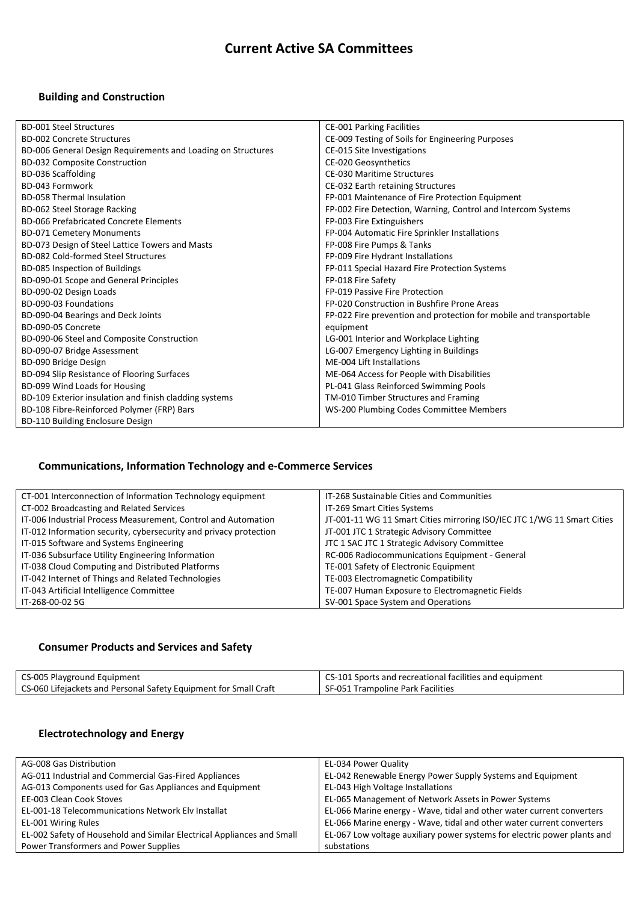# **Current Active SA Committees**

## **Building and Construction**

| <b>BD-001 Steel Structures</b>                               | <b>CE-001 Parking Facilities</b>                                   |
|--------------------------------------------------------------|--------------------------------------------------------------------|
| <b>BD-002 Concrete Structures</b>                            | CE-009 Testing of Soils for Engineering Purposes                   |
| BD-006 General Design Requirements and Loading on Structures | CE-015 Site Investigations                                         |
| <b>BD-032 Composite Construction</b>                         | CE-020 Geosynthetics                                               |
| BD-036 Scaffolding                                           | <b>CE-030 Maritime Structures</b>                                  |
| BD-043 Formwork                                              | CE-032 Earth retaining Structures                                  |
| <b>BD-058 Thermal Insulation</b>                             | FP-001 Maintenance of Fire Protection Equipment                    |
| BD-062 Steel Storage Racking                                 | FP-002 Fire Detection, Warning, Control and Intercom Systems       |
| <b>BD-066 Prefabricated Concrete Elements</b>                | FP-003 Fire Extinguishers                                          |
| <b>BD-071 Cemetery Monuments</b>                             | FP-004 Automatic Fire Sprinkler Installations                      |
| BD-073 Design of Steel Lattice Towers and Masts              | FP-008 Fire Pumps & Tanks                                          |
| BD-082 Cold-formed Steel Structures                          | FP-009 Fire Hydrant Installations                                  |
| BD-085 Inspection of Buildings                               | FP-011 Special Hazard Fire Protection Systems                      |
| BD-090-01 Scope and General Principles                       | FP-018 Fire Safety                                                 |
| BD-090-02 Design Loads                                       | FP-019 Passive Fire Protection                                     |
| BD-090-03 Foundations                                        | FP-020 Construction in Bushfire Prone Areas                        |
| BD-090-04 Bearings and Deck Joints                           | FP-022 Fire prevention and protection for mobile and transportable |
| BD-090-05 Concrete                                           | equipment                                                          |
| BD-090-06 Steel and Composite Construction                   | LG-001 Interior and Workplace Lighting                             |
| BD-090-07 Bridge Assessment                                  | LG-007 Emergency Lighting in Buildings                             |
| BD-090 Bridge Design                                         | ME-004 Lift Installations                                          |
| BD-094 Slip Resistance of Flooring Surfaces                  | ME-064 Access for People with Disabilities                         |
| BD-099 Wind Loads for Housing                                | PL-041 Glass Reinforced Swimming Pools                             |
| BD-109 Exterior insulation and finish cladding systems       | TM-010 Timber Structures and Framing                               |
| BD-108 Fibre-Reinforced Polymer (FRP) Bars                   | WS-200 Plumbing Codes Committee Members                            |
| BD-110 Building Enclosure Design                             |                                                                    |

## **Communications, Information Technology and e-Commerce Services**

| CT-001 Interconnection of Information Technology equipment        | IT-268 Sustainable Cities and Communities                               |
|-------------------------------------------------------------------|-------------------------------------------------------------------------|
| CT-002 Broadcasting and Related Services                          | IT-269 Smart Cities Systems                                             |
| IT-006 Industrial Process Measurement, Control and Automation     | JT-001-11 WG 11 Smart Cities mirroring ISO/IEC JTC 1/WG 11 Smart Cities |
| IT-012 Information security, cybersecurity and privacy protection | JT-001 JTC 1 Strategic Advisory Committee                               |
| IT-015 Software and Systems Engineering                           | JTC 1 SAC JTC 1 Strategic Advisory Committee                            |
| IT-036 Subsurface Utility Engineering Information                 | RC-006 Radiocommunications Equipment - General                          |
| IT-038 Cloud Computing and Distributed Platforms                  | TE-001 Safety of Electronic Equipment                                   |
| IT-042 Internet of Things and Related Technologies                | TE-003 Electromagnetic Compatibility                                    |
| IT-043 Artificial Intelligence Committee                          | TE-007 Human Exposure to Electromagnetic Fields                         |
| IT-268-00-02 5G                                                   | SV-001 Space System and Operations                                      |

#### **Consumer Products and Services and Safety**

| CS-005 Playground Equipment                                      | CS-101 Sports and recreational facilities and equipment |
|------------------------------------------------------------------|---------------------------------------------------------|
| CS-060 Lifejackets and Personal Safety Equipment for Small Craft | SF-051 Trampoline Park Facilities                       |

## **Electrotechnology and Energy**

| AG-008 Gas Distribution                                                | EL-034 Power Quality                                                     |
|------------------------------------------------------------------------|--------------------------------------------------------------------------|
| AG-011 Industrial and Commercial Gas-Fired Appliances                  | EL-042 Renewable Energy Power Supply Systems and Equipment               |
| AG-013 Components used for Gas Appliances and Equipment                | EL-043 High Voltage Installations                                        |
| EE-003 Clean Cook Stoves                                               | EL-065 Management of Network Assets in Power Systems                     |
| EL-001-18 Telecommunications Network Elv Installat                     | EL-066 Marine energy - Wave, tidal and other water current converters    |
| EL-001 Wiring Rules                                                    | EL-066 Marine energy - Wave, tidal and other water current converters    |
| EL-002 Safety of Household and Similar Electrical Appliances and Small | EL-067 Low voltage auxiliary power systems for electric power plants and |
| Power Transformers and Power Supplies                                  | substations                                                              |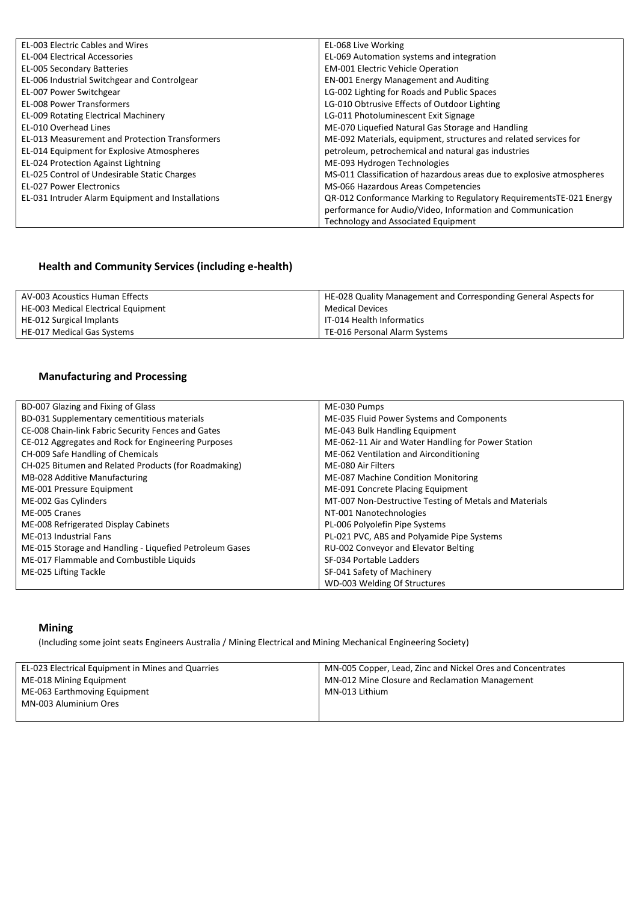| <b>EL-003 Electric Cables and Wires</b>               | EL-068 Live Working                                                   |
|-------------------------------------------------------|-----------------------------------------------------------------------|
| <b>EL-004 Electrical Accessories</b>                  | EL-069 Automation systems and integration                             |
| EL-005 Secondary Batteries                            | EM-001 Electric Vehicle Operation                                     |
| EL-006 Industrial Switchgear and Controlgear          | EN-001 Energy Management and Auditing                                 |
| EL-007 Power Switchgear                               | LG-002 Lighting for Roads and Public Spaces                           |
| <b>EL-008 Power Transformers</b>                      | LG-010 Obtrusive Effects of Outdoor Lighting                          |
| <b>EL-009 Rotating Electrical Machinery</b>           | LG-011 Photoluminescent Exit Signage                                  |
| EL-010 Overhead Lines                                 | ME-070 Liquefied Natural Gas Storage and Handling                     |
| <b>EL-013 Measurement and Protection Transformers</b> | ME-092 Materials, equipment, structures and related services for      |
| EL-014 Equipment for Explosive Atmospheres            | petroleum, petrochemical and natural gas industries                   |
| EL-024 Protection Against Lightning                   | ME-093 Hydrogen Technologies                                          |
| EL-025 Control of Undesirable Static Charges          | MS-011 Classification of hazardous areas due to explosive atmospheres |
| <b>EL-027 Power Electronics</b>                       | MS-066 Hazardous Areas Competencies                                   |
| EL-031 Intruder Alarm Equipment and Installations     | QR-012 Conformance Marking to Regulatory RequirementsTE-021 Energy    |
|                                                       | performance for Audio/Video, Information and Communication            |
|                                                       | Technology and Associated Equipment                                   |

## **Health and Community Services (including e-health)**

| AV-003 Acoustics Human Effects      | HE-028 Quality Management and Corresponding General Aspects for |
|-------------------------------------|-----------------------------------------------------------------|
| HE-003 Medical Electrical Equipment | Medical Devices                                                 |
| HE-012 Surgical Implants            | IT-014 Health Informatics                                       |
| HE-017 Medical Gas Systems          | TE-016 Personal Alarm Systems                                   |

#### **Manufacturing and Processing**

| BD-007 Glazing and Fixing of Glass                      | ME-030 Pumps                                           |
|---------------------------------------------------------|--------------------------------------------------------|
| BD-031 Supplementary cementitious materials             | ME-035 Fluid Power Systems and Components              |
| CE-008 Chain-link Fabric Security Fences and Gates      | ME-043 Bulk Handling Equipment                         |
| CE-012 Aggregates and Rock for Engineering Purposes     | ME-062-11 Air and Water Handling for Power Station     |
| CH-009 Safe Handling of Chemicals                       | ME-062 Ventilation and Airconditioning                 |
| CH-025 Bitumen and Related Products (for Roadmaking)    | ME-080 Air Filters                                     |
| MB-028 Additive Manufacturing                           | ME-087 Machine Condition Monitoring                    |
| ME-001 Pressure Equipment                               | ME-091 Concrete Placing Equipment                      |
| ME-002 Gas Cylinders                                    | MT-007 Non-Destructive Testing of Metals and Materials |
| ME-005 Cranes                                           | NT-001 Nanotechnologies                                |
| ME-008 Refrigerated Display Cabinets                    | PL-006 Polyolefin Pipe Systems                         |
| ME-013 Industrial Fans                                  | PL-021 PVC, ABS and Polyamide Pipe Systems             |
| ME-015 Storage and Handling - Liquefied Petroleum Gases | RU-002 Conveyor and Elevator Belting                   |
| ME-017 Flammable and Combustible Liquids                | SF-034 Portable Ladders                                |
| ME-025 Lifting Tackle                                   | SF-041 Safety of Machinery                             |
|                                                         | WD-003 Welding Of Structures                           |

#### **Mining**

(Including some joint seats Engineers Australia / Mining Electrical and Mining Mechanical Engineering Society)

| EL-023 Electrical Equipment in Mines and Quarries | MN-005 Copper, Lead, Zinc and Nickel Ores and Concentrates |
|---------------------------------------------------|------------------------------------------------------------|
| ME-018 Mining Equipment                           | MN-012 Mine Closure and Reclamation Management             |
| ME-063 Earthmoving Equipment                      | MN-013 Lithium                                             |
| MN-003 Aluminium Ores                             |                                                            |
|                                                   |                                                            |